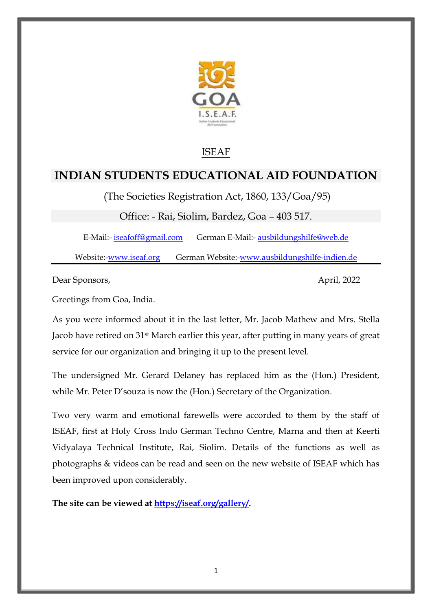

## ISEAF

# **INDIAN STUDENTS EDUCATIONAL AID FOUNDATION**

(The Societies Registration Act, 1860, 133/Goa/95)

Office: - Rai, Siolim, Bardez, Goa – 403 517.

E-Mail:- [iseafoff@gmail.com](mailto:iseafoff@gmail.com) German E-Mail:- [ausbildungshilfe@web.de](mailto:ausbildungshilfe@web.de)

Website:[-www.iseaf.org](http://www.iseaf.org/) German Website:-www.ausbildungshilfe-indien.de

Dear Sponsors, April, 2022

Greetings from Goa, India.

As you were informed about it in the last letter, Mr. Jacob Mathew and Mrs. Stella Jacob have retired on 31st March earlier this year, after putting in many years of great service for our organization and bringing it up to the present level.

The undersigned Mr. Gerard Delaney has replaced him as the (Hon.) President, while Mr. Peter D'souza is now the (Hon.) Secretary of the Organization.

Two very warm and emotional farewells were accorded to them by the staff of ISEAF, first at Holy Cross Indo German Techno Centre, Marna and then at Keerti Vidyalaya Technical Institute, Rai, Siolim. Details of the functions as well as photographs & videos can be read and seen on the new website of ISEAF which has been improved upon considerably.

**The site can be viewed at [https://iseaf.org/gallery/.](https://iseaf.org/gallery/)**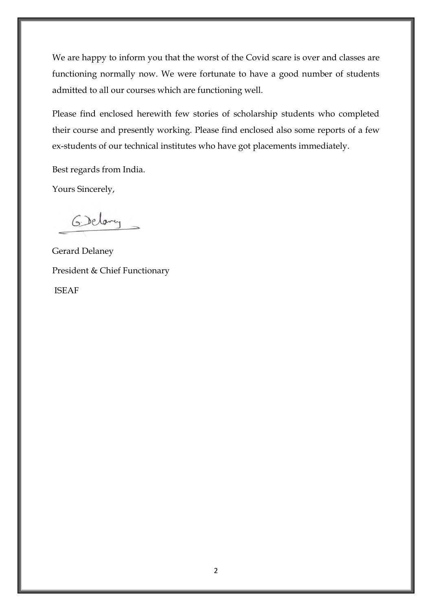We are happy to inform you that the worst of the Covid scare is over and classes are functioning normally now. We were fortunate to have a good number of students admitted to all our courses which are functioning well.

Please find enclosed herewith few stories of scholarship students who completed their course and presently working. Please find enclosed also some reports of a few ex-students of our technical institutes who have got placements immediately.

Best regards from India.

Yours Sincerely,

6 Delany

Gerard Delaney President & Chief Functionary ISEAF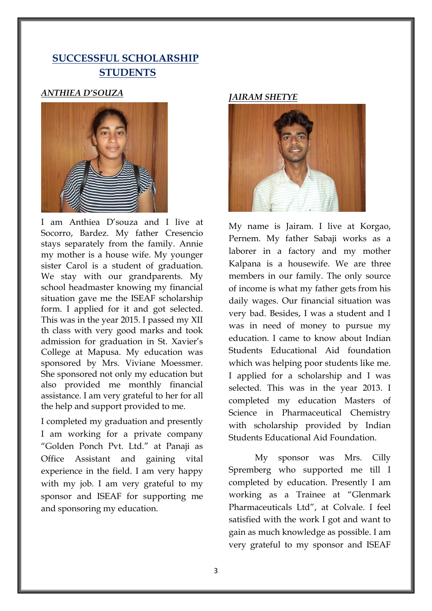## **SUCCESSFUL SCHOLARSHIP STUDENTS**

### *ANTHIEA D'SOUZA*



I am Anthiea D"souza and I live at Socorro, Bardez. My father Cresencio stays separately from the family. Annie my mother is a house wife. My younger sister Carol is a student of graduation. We stay with our grandparents. My school headmaster knowing my financial situation gave me the ISEAF scholarship form. I applied for it and got selected. This was in the year 2015. I passed my XII th class with very good marks and took admission for graduation in St. Xavier"s College at Mapusa. My education was sponsored by Mrs. Viviane Moessmer. She sponsored not only my education but also provided me monthly financial assistance. I am very grateful to her for all the help and support provided to me.

I completed my graduation and presently I am working for a private company "Golden Ponch Pvt. Ltd." at Panaji as Office Assistant and gaining vital experience in the field. I am very happy with my job. I am very grateful to my sponsor and ISEAF for supporting me and sponsoring my education.

#### *JAIRAM SHETYE*



My name is Jairam. I live at Korgao, Pernem. My father Sabaji works as a laborer in a factory and my mother Kalpana is a housewife. We are three members in our family. The only source of income is what my father gets from his daily wages. Our financial situation was very bad. Besides, I was a student and I was in need of money to pursue my education. I came to know about Indian Students Educational Aid foundation which was helping poor students like me. I applied for a scholarship and I was selected. This was in the year 2013. I completed my education Masters of Science in Pharmaceutical Chemistry with scholarship provided by Indian Students Educational Aid Foundation.

 My sponsor was Mrs. Cilly Spremberg who supported me till I completed by education. Presently I am working as a Trainee at "Glenmark Pharmaceuticals Ltd", at Colvale. I feel satisfied with the work I got and want to gain as much knowledge as possible. I am very grateful to my sponsor and ISEAF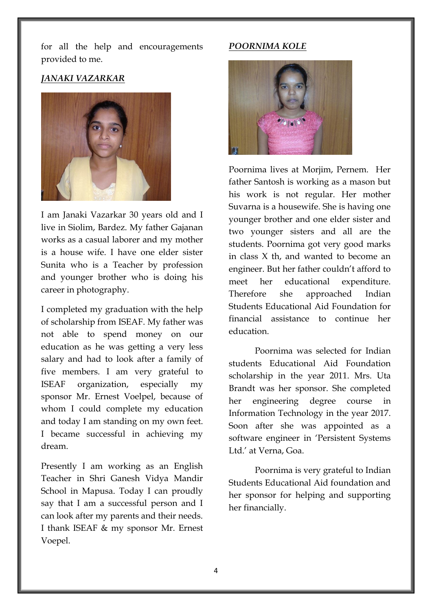for all the help and encouragements provided to me.

### *JANAKI VAZARKAR*



I am Janaki Vazarkar 30 years old and I live in Siolim, Bardez. My father Gajanan works as a casual laborer and my mother is a house wife. I have one elder sister Sunita who is a Teacher by profession and younger brother who is doing his career in photography.

I completed my graduation with the help of scholarship from ISEAF. My father was not able to spend money on our education as he was getting a very less salary and had to look after a family of five members. I am very grateful to ISEAF organization, especially my sponsor Mr. Ernest Voelpel, because of whom I could complete my education and today I am standing on my own feet. I became successful in achieving my dream.

Presently I am working as an English Teacher in Shri Ganesh Vidya Mandir School in Mapusa. Today I can proudly say that I am a successful person and I can look after my parents and their needs. I thank ISEAF & my sponsor Mr. Ernest Voepel.

#### *POORNIMA KOLE*



Poornima lives at Morjim, Pernem. Her father Santosh is working as a mason but his work is not regular. Her mother Suvarna is a housewife. She is having one younger brother and one elder sister and two younger sisters and all are the students. Poornima got very good marks in class X th, and wanted to become an engineer. But her father couldn"t afford to meet her educational expenditure. Therefore she approached Indian Students Educational Aid Foundation for financial assistance to continue her education.

 Poornima was selected for Indian students Educational Aid Foundation scholarship in the year 2011. Mrs. Uta Brandt was her sponsor. She completed her engineering degree course in Information Technology in the year 2017. Soon after she was appointed as a software engineer in "Persistent Systems Ltd." at Verna, Goa.

 Poornima is very grateful to Indian Students Educational Aid foundation and her sponsor for helping and supporting her financially.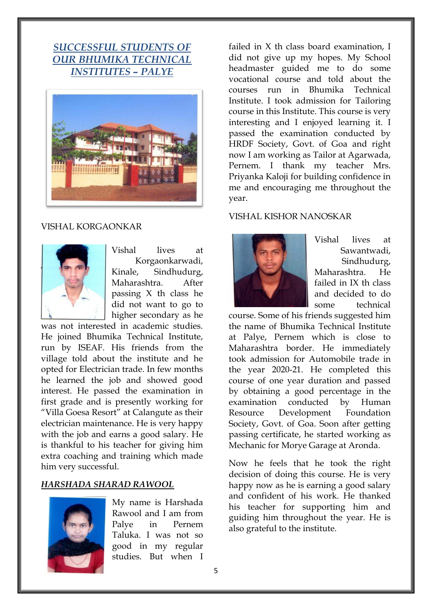## *SUCCESSFUL STUDENTS OF OUR BHUMIKA TECHNICAL INSTITUTES – PALYE*



## VISHAL KORGAONKAR



Vishal lives at Korgaonkarwadi, Kinale, Sindhudurg, Maharashtra. After passing X th class he did not want to go to higher secondary as he

was not interested in academic studies. He joined Bhumika Technical Institute, run by ISEAF. His friends from the village told about the institute and he opted for Electrician trade. In few months he learned the job and showed good interest. He passed the examination in first grade and is presently working for "Villa Goesa Resort" at Calangute as their electrician maintenance. He is very happy with the job and earns a good salary. He is thankful to his teacher for giving him extra coaching and training which made him very successful.

## *HARSHADA SHARAD RAWOOL*



My name is Harshada Rawool and I am from Palye in Pernem Taluka. I was not so good in my regular studies. But when I

failed in X th class board examination, I did not give up my hopes. My School headmaster guided me to do some vocational course and told about the courses run in Bhumika Technical Institute. I took admission for Tailoring course in this Institute. This course is very interesting and I enjoyed learning it. I passed the examination conducted by HRDF Society, Govt. of Goa and right now I am working as Tailor at Agarwada, Pernem. I thank my teacher Mrs. Priyanka Kaloji for building confidence in me and encouraging me throughout the year.

#### VISHAL KISHOR NANOSKAR



Vishal lives at Sawantwadi, Sindhudurg, Maharashtra. He failed in IX th class and decided to do some technical

course. Some of his friends suggested him the name of Bhumika Technical Institute at Palye, Pernem which is close to Maharashtra border. He immediately took admission for Automobile trade in the year 2020-21. He completed this course of one year duration and passed by obtaining a good percentage in the examination conducted by Human Resource Development Foundation Society, Govt. of Goa. Soon after getting passing certificate, he started working as Mechanic for Morye Garage at Aronda.

Now he feels that he took the right decision of doing this course. He is very happy now as he is earning a good salary and confident of his work. He thanked his teacher for supporting him and guiding him throughout the year. He is also grateful to the institute.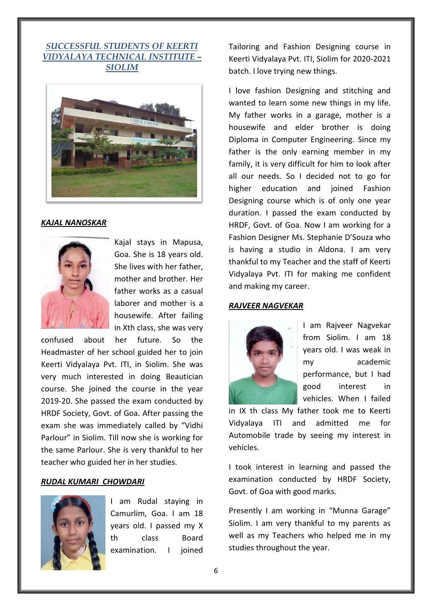## *SUCCESSFUL STUDENTS OF KEERTI VIDYALAYA TECHNICAL INSTITUTE – SIOLIM*



#### *KAJAL NANOSKAR*



Kajal stays in Mapusa, Goa. She is 18 years old. She lives with her father, mother and brother. Her father works as a casual laborer and mother is a housewife. After failing in Xth class, she was very

confused about her future. So the Headmaster of her school guided her to join Keerti Vidyalaya Pvt. ITI, in Siolim. She was very much interested in doing Beautician course. She joined the course in the year 2019-20. She passed the exam conducted by HRDF Society, Govt. of Goa. After passing the exam she was immediately called by "Vidhi Parlour" in Siolim. Till now she is working for the same Parlour. She is very thankful to her teacher who guided her in her studies.

#### *RUDAL KUMARI CHOWDARI*



I am Rudal staying in Camurlim, Goa. I am 18 years old. I passed my X th class Board examination. I joined Tailoring and Fashion Designing course in Keerti Vidyalaya Pvt. ITI, Siolim for 2020-2021 batch. I love trying new things.

I love fashion Designing and stitching and wanted to learn some new things in my life. My father works in a garage, mother is a housewife and elder brother is doing Diploma in Computer Engineering. Since my father is the only earning member in my family, it is very difficult for him to look after all our needs. So I decided not to go for higher education and joined Fashion Designing course which is of only one year duration. I passed the exam conducted by HRDF, Govt. of Goa. Now I am working for a Fashion Designer Ms. Stephanie D'Souza who is having a studio in Aldona. I am very thankful to my Teacher and the staff of Keerti Vidyalaya Pvt. ITI for making me confident and making my career.

#### *RAJVEER NAGVEKAR*



I am Rajveer Nagvekar from Siolim. I am 18 years old. I was weak in my academic performance, but I had good interest in vehicles. When I failed

in IX th class My father took me to Keerti Vidyalaya ITI and admitted me for Automobile trade by seeing my interest in vehicles.

I took interest in learning and passed the examination conducted by HRDF Society, Govt. of Goa with good marks.

Presently I am working in "Munna Garage" Siolim. I am very thankful to my parents as well as my Teachers who helped me in my studies throughout the year.